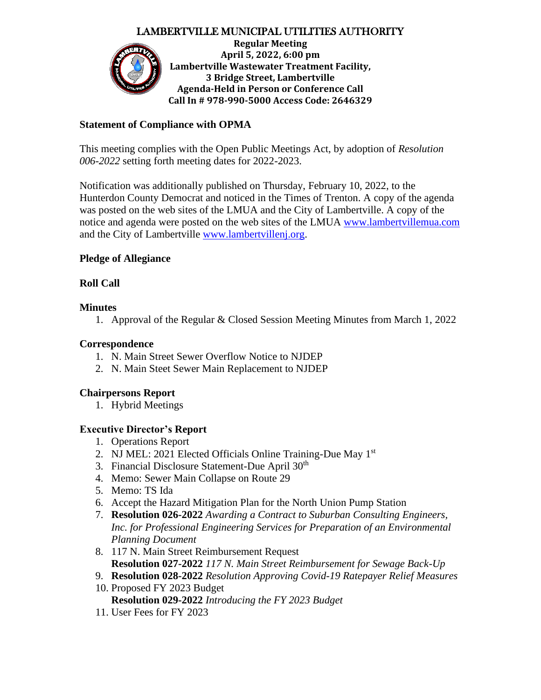# LAMBERTVILLE MUNICIPAL UTILITIES AUTHORITY



### **Statement of Compliance with OPMA**

This meeting complies with the Open Public Meetings Act, by adoption of *Resolution 006-2022* setting forth meeting dates for 2022-2023.

Notification was additionally published on Thursday, February 10, 2022, to the Hunterdon County Democrat and noticed in the Times of Trenton. A copy of the agenda was posted on the web sites of the LMUA and the City of Lambertville. A copy of the notice and agenda were posted on the web sites of the LMUA [www.lambertvillemua.com](http://www.lambertvillemua.com/) and the City of Lambertville [www.lambertvillenj.org.](http://www.lambertvillenj.org/)

# **Pledge of Allegiance**

# **Roll Call**

### **Minutes**

1. Approval of the Regular & Closed Session Meeting Minutes from March 1, 2022

### **Correspondence**

- 1. N. Main Street Sewer Overflow Notice to NJDEP
- 2. N. Main Steet Sewer Main Replacement to NJDEP

#### **Chairpersons Report**

1. Hybrid Meetings

# **Executive Director's Report**

- 1. Operations Report
- 2. NJ MEL: 2021 Elected Officials Online Training-Due May 1<sup>st</sup>
- 3. Financial Disclosure Statement-Due April 30<sup>th</sup>
- 4. Memo: Sewer Main Collapse on Route 29
- 5. Memo: TS Ida
- 6. Accept the Hazard Mitigation Plan for the North Union Pump Station
- 7. **Resolution 026-2022** *Awarding a Contract to Suburban Consulting Engineers, Inc. for Professional Engineering Services for Preparation of an Environmental Planning Document*
- 8. 117 N. Main Street Reimbursement Request **Resolution 027-2022** *117 N. Main Street Reimbursement for Sewage Back-Up*
- 9. **Resolution 028-2022** *Resolution Approving Covid-19 Ratepayer Relief Measures*
- 10. Proposed FY 2023 Budget **Resolution 029-2022** *Introducing the FY 2023 Budget*
- 11. User Fees for FY 2023